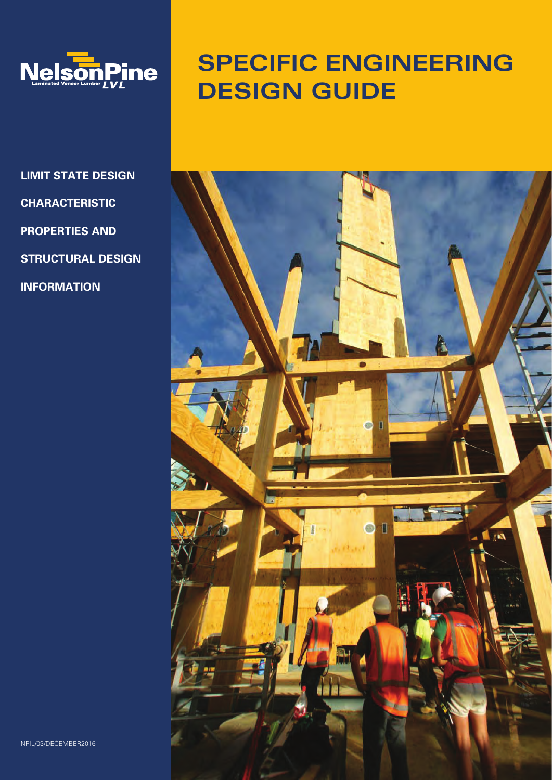

**LIMIT STATE DESIGN CHARACTERISTIC PROPERTIES AND STRUCTURAL DESIGN INFORMATION**

# **SPECIFIC ENGINEERING DESIGN GUIDE**



NPIL/03/DECEMBER2016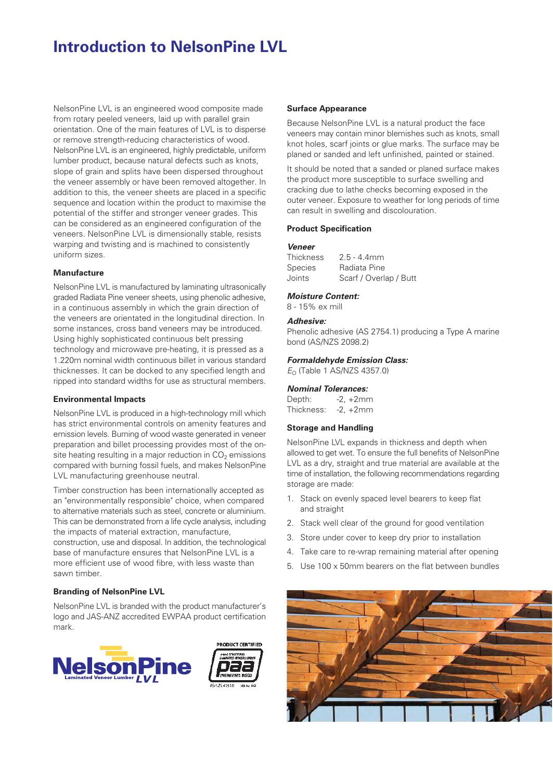# **Introduction to NelsonPine LVL**

NelsonPine LVL is an engineered wood composite made from rotary peeled veneers, laid up with parallel grain orientation. One of the main features of LVL is to disperse or remove strength-reducing characteristics of wood. NelsonPine LVL is an engineered, highly predictable, uniform lumber product, because natural defects such as knots, slope of grain and splits have been dispersed throughout the veneer assembly or have been removed altogether. In addition to this, the veneer sheets are placed in a specific sequence and location within the product to maximise the potential of the stiffer and stronger veneer grades. This can be considered as an engineered configuration of the veneers. NelsonPine LVL is dimensionally stable, resists warping and twisting and is machined to consistently uniform sizes.

#### **Manufacture**

NelsonPine LVL is manufactured by laminating ultrasonically graded Radiata Pine veneer sheets, using phenolic adhesive, in a continuous assembly in which the grain direction of the veneers are orientated in the longitudinal direction. In some instances, cross band veneers may be introduced. Using highly sophisticated continuous belt pressing technology and microwave pre-heating, it is pressed as a 1.220m nominal width continuous billet in various standard thicknesses. It can be docked to any specified length and ripped into standard widths for use as structural members.

#### **Environmental Impacts**

NelsonPine LVL is produced in a high-technology mill which has strict environmental controls on amenity features and emission levels. Burning of wood waste generated in veneer preparation and billet processing provides most of the onsite heating resulting in a major reduction in  $CO<sub>2</sub>$  emissions compared with burning fossil fuels, and makes NelsonPine LVL manufacturing greenhouse neutral.

Timber construction has been internationally accepted as an "environmentally responsible" choice, when compared to alternative materials such as steel, concrete or aluminium. This can be demonstrated from a life cycle analysis, including the impacts of material extraction, manufacture, construction, use and disposal. In addition, the technological base of manufacture ensures that NelsonPine LVL is a more efficient use of wood fibre, with less waste than sawn timber.

### **Branding of NelsonPine LVL**

NelsonPine LVL is branded with the product manufacturer's logo and JAS-ANZ accredited EWPAA product certification mark.





#### **Surface Appearance**

Because NelsonPine LVL is a natural product the face veneers may contain minor blemishes such as knots, small knot holes, scarf joints or glue marks. The surface may be planed or sanded and left unfinished, painted or stained.

It should be noted that a sanded or planed surface makes the product more susceptible to surface swelling and cracking due to lathe checks becoming exposed in the outer veneer. Exposure to weather for long periods of time can result in swelling and discolouration.

#### **Product Specification**

#### **Veneer**

| Thickness | $2.5 - 4.4$ mm         |
|-----------|------------------------|
| Species   | Radiata Pine           |
| Joints    | Scarf / Overlap / Butt |

# **Moisture Content:**

8 - 15% ex mill

# **Adhesive:**

Phenolic adhesive (AS 2754.1) producing a Type A marine bond (AS/NZS 2098.2)

#### **Formaldehyde Emission Class:**

 $E<sub>O</sub>$  (Table 1 AS/NZS 4357.0)

#### **Nominal Tolerances:**

Depth: -2, +2mm Thickness: -2, +2mm

#### **Storage and Handling**

NelsonPine LVL expands in thickness and depth when allowed to get wet. To ensure the full benefits of NelsonPine LVL as a dry, straight and true material are available at the time of installation, the following recommendations regarding storage are made:

- 1. Stack on evenly spaced level bearers to keep flat and straight
- 2. Stack well clear of the ground for good ventilation
- 3. Store under cover to keep dry prior to installation
- 4. Take care to re-wrap remaining material after opening
- 5. Use 100 x 50mm bearers on the flat between bundles

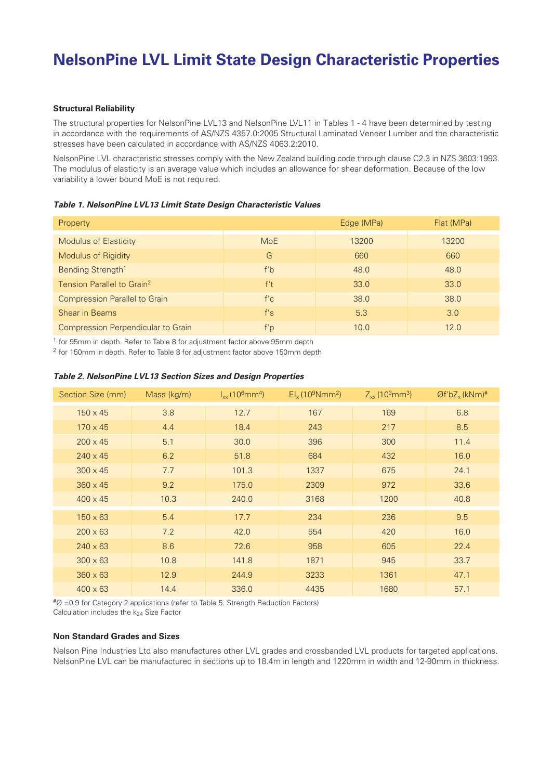# **NelsonPine LVL Limit State Design Characteristic Properties**

### **Structural Reliability**

The structural properties for NelsonPine LVL13 and NelsonPine LVL11 in Tables 1 - 4 have been determined by testing in accordance with the requirements of AS/NZS 4357.0:2005 Structural Laminated Veneer Lumber and the characteristic stresses have been calculated in accordance with AS/NZS 4063.2:2010.

NelsonPine LVL characteristic stresses comply with the New Zealand building code through clause C2.3 in NZS 3603:1993. The modulus of elasticity is an average value which includes an allowance for shear deformation. Because of the low variability a lower bound MoE is not required.

**Table 1. NelsonPine LVL13 Limit State Design Characteristic Values**

| Property                                  |            | Edge (MPa) | Flat (MPa) |
|-------------------------------------------|------------|------------|------------|
| <b>Modulus of Elasticity</b>              | <b>MoE</b> | 13200      | 13200      |
| Modulus of Rigidity                       | G          | 660        | 660        |
| Bending Strength <sup>1</sup>             | f'b        | 48.0       | 48.0       |
| Tension Parallel to Grain <sup>2</sup>    | f't        | 33.0       | 33.0       |
| <b>Compression Parallel to Grain</b>      | f'c        | 38.0       | 38.0       |
| Shear in Beams                            | f's        | 5.3        | 3.0        |
| <b>Compression Perpendicular to Grain</b> | f'p        | 10.0       | 12.0       |

<sup>1</sup> for 95mm in depth. Refer to Table 8 for adjustment factor above 95mm depth

<sup>2</sup> for 150mm in depth. Refer to Table 8 for adjustment factor above 150mm depth

| Section Size (mm) | Mass (kg/m) | $I_{xx}$ (10 <sup>6</sup> mm <sup>4</sup> ) | $Elx$ (10 <sup>9</sup> Nmm <sup>2</sup> ) | $Z_{xx}$ (10 <sup>3</sup> mm <sup>3</sup> ) | $Qf'bZ_x(kNm)*$ |
|-------------------|-------------|---------------------------------------------|-------------------------------------------|---------------------------------------------|-----------------|
| $150 \times 45$   | 3.8         | 12.7                                        | 167                                       | 169                                         | 6.8             |
| $170 \times 45$   | 4.4         | 18.4                                        | 243                                       | 217                                         | 8.5             |
| $200 \times 45$   | 5.1         | 30.0                                        | 396                                       | 300                                         | 11.4            |
| $240 \times 45$   | 6.2         | 51.8                                        | 684                                       | 432                                         | 16.0            |
| $300 \times 45$   | 7.7         | 101.3                                       | 1337                                      | 675                                         | 24.1            |
| $360 \times 45$   | 9.2         | 175.0                                       | 2309                                      | 972                                         | 33.6            |
| $400 \times 45$   | 10.3        | 240.0                                       | 3168                                      | 1200                                        | 40.8            |
| $150 \times 63$   | 5.4         | 17.7                                        | 234                                       | 236                                         | 9.5             |
| $200 \times 63$   | 7.2         | 42.0                                        | 554                                       | 420                                         | 16.0            |
| $240 \times 63$   | 8.6         | 72.6                                        | 958                                       | 605                                         | 22.4            |
| $300 \times 63$   | 10.8        | 141.8                                       | 1871                                      | 945                                         | 33.7            |
| $360 \times 63$   | 12.9        | 244.9                                       | 3233                                      | 1361                                        | 47.1            |
| $400 \times 63$   | 14.4        | 336.0                                       | 4435                                      | 1680                                        | 57.1            |

#### **Table 2. NelsonPine LVL13 Section Sizes and Design Properties**

 $\text{\textsterling}0 = 0.9$  for Category 2 applications (refer to Table 5. Strength Reduction Factors) Calculation includes the  $k_{24}$  Size Factor

#### **Non Standard Grades and Sizes**

Nelson Pine Industries Ltd also manufactures other LVL grades and crossbanded LVL products for targeted applications. NelsonPine LVL can be manufactured in sections up to 18.4m in length and 1220mm in width and 12-90mm in thickness.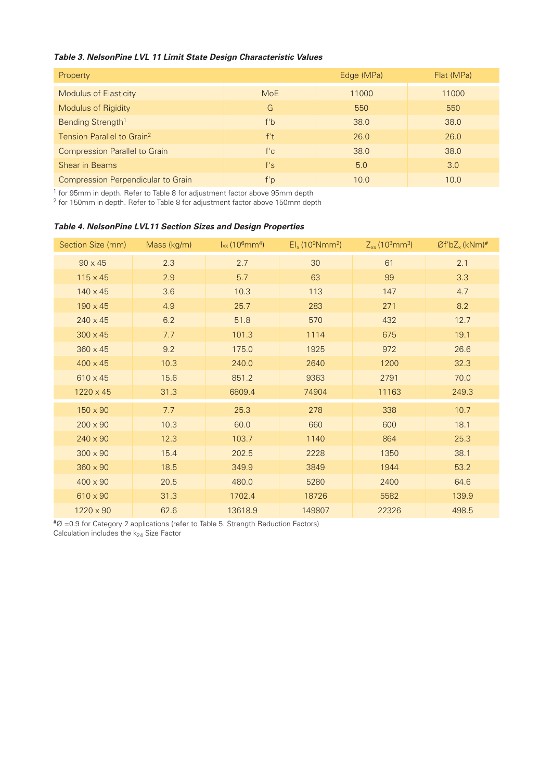# **Table 3. NelsonPine LVL 11 Limit State Design Characteristic Values**

| Property                                  |            | Edge (MPa) | Flat (MPa) |
|-------------------------------------------|------------|------------|------------|
| <b>Modulus of Elasticity</b>              | <b>MoE</b> | 11000      | 11000      |
| <b>Modulus of Rigidity</b>                | G          | 550        | 550        |
| Bending Strength <sup>1</sup>             | f'b        | 38.0       | 38.0       |
| Tension Parallel to Grain <sup>2</sup>    | f't        | 26.0       | 26.0       |
| <b>Compression Parallel to Grain</b>      | f'c        | 38.0       | 38.0       |
| <b>Shear in Beams</b>                     | f's        | 5.0        | 3.0        |
| <b>Compression Perpendicular to Grain</b> | f'p        | 10.0       | 10.0       |

<sup>1</sup> for 95mm in depth. Refer to Table 8 for adjustment factor above 95mm depth

<sup>2</sup> for 150mm in depth. Refer to Table 8 for adjustment factor above 150mm depth

| Section Size (mm) | Mass (kg/m) | $l_{xx}$ (10 $^{6}$ mm <sup>4</sup> ) | $EI_x(109Nmm^2)$ | $Z_{xx}$ (10 <sup>3</sup> mm <sup>3</sup> ) | $Qf'bZ_x$ (kNm)# |
|-------------------|-------------|---------------------------------------|------------------|---------------------------------------------|------------------|
| $90 \times 45$    | 2.3         | 2.7                                   | 30               | 61                                          | 2.1              |
| $115 \times 45$   | 2.9         | 5.7                                   | 63               | 99                                          | 3.3              |
| $140 \times 45$   | 3.6         | 10.3                                  | 113              | 147                                         | 4.7              |
| $190 \times 45$   | 4.9         | 25.7                                  | 283              | 271                                         | 8.2              |
| $240 \times 45$   | 6.2         | 51.8                                  | 570              | 432                                         | 12.7             |
| $300 \times 45$   | 7.7         | 101.3                                 | 1114             | 675                                         | 19.1             |
| $360 \times 45$   | 9.2         | 175.0                                 | 1925             | 972                                         | 26.6             |
| $400 \times 45$   | 10.3        | 240.0                                 | 2640             | 1200                                        | 32.3             |
| $610 \times 45$   | 15.6        | 851.2                                 | 9363             | 2791                                        | 70.0             |
| $1220 \times 45$  | 31.3        | 6809.4                                | 74904            | 11163                                       | 249.3            |
| $150 \times 90$   | 7.7         | 25.3                                  | 278              | 338                                         | 10.7             |
| $200 \times 90$   | 10.3        | 60.0                                  | 660              | 600                                         | 18.1             |
| $240 \times 90$   | 12.3        | 103.7                                 | 1140             | 864                                         | 25.3             |
| $300 \times 90$   | 15.4        | 202.5                                 | 2228             | 1350                                        | 38.1             |
| $360 \times 90$   | 18.5        | 349.9                                 | 3849             | 1944                                        | 53.2             |
| $400 \times 90$   | 20.5        | 480.0                                 | 5280             | 2400                                        | 64.6             |
| $610 \times 90$   | 31.3        | 1702.4                                | 18726            | 5582                                        | 139.9            |
| 1220 x 90         | 62.6        | 13618.9                               | 149807           | 22326                                       | 498.5            |

# **Table 4. NelsonPine LVL11 Section Sizes and Design Properties**

 $\text{\texttt{H}}\varnothing$  =0.9 for Category 2 applications (refer to Table 5. Strength Reduction Factors) Calculation includes the k<sub>24</sub> Size Factor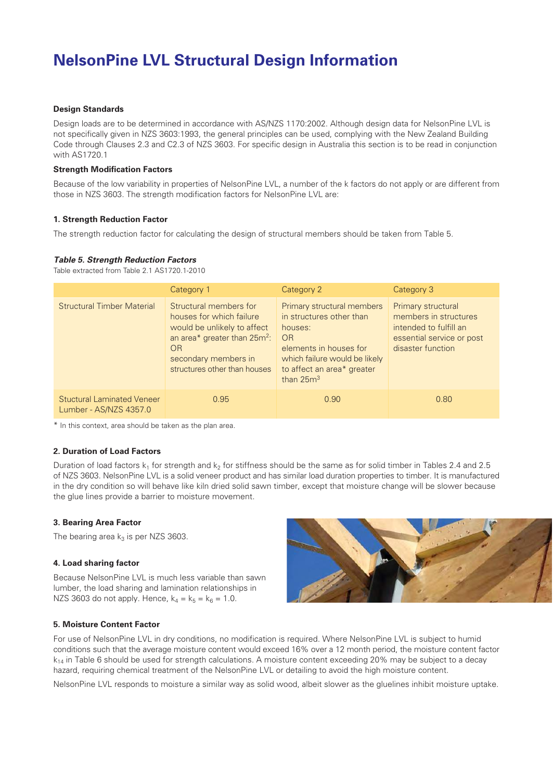# **NelsonPine LVL Structural Design Information**

### **Design Standards**

Design loads are to be determined in accordance with AS/NZS 1170:2002. Although design data for NelsonPine LVL is not specifically given in NZS 3603:1993, the general principles can be used, complying with the New Zealand Building Code through Clauses 2.3 and C2.3 of NZS 3603. For specific design in Australia this section is to be read in conjunction with AS1720.1

#### **Strength Modification Factors**

Because of the low variability in properties of NelsonPine LVL, a number of the k factors do not apply or are different from those in NZS 3603. The strength modification factors for NelsonPine LVL are:

### **1. Strength Reduction Factor**

The strength reduction factor for calculating the design of structural members should be taken from Table 5.

#### **Table 5. Strength Reduction Factors**

Table extracted from Table 2.1 AS1720.1-2010

|                                                             | Category 1                                                                                                                                                                                  | Category 2                                                                                                                                                                             | Category 3                                                                                                              |
|-------------------------------------------------------------|---------------------------------------------------------------------------------------------------------------------------------------------------------------------------------------------|----------------------------------------------------------------------------------------------------------------------------------------------------------------------------------------|-------------------------------------------------------------------------------------------------------------------------|
| <b>Structural Timber Material</b>                           | Structural members for<br>houses for which failure<br>would be unlikely to affect<br>an area* greater than 25m <sup>2</sup> :<br>OR<br>secondary members in<br>structures other than houses | Primary structural members<br>in structures other than<br>houses:<br><b>OR</b><br>elements in houses for<br>which failure would be likely<br>to affect an area* greater<br>than $25m3$ | Primary structural<br>members in structures<br>intended to fulfill an<br>essential service or post<br>disaster function |
| <b>Stuctural Laminated Veneer</b><br>Lumber - AS/NZS 4357.0 | 0.95                                                                                                                                                                                        | 0.90                                                                                                                                                                                   | 0.80                                                                                                                    |

\* In this context, area should be taken as the plan area.

### **2. Duration of Load Factors**

Duration of load factors  $k_1$  for strength and  $k_2$  for stiffness should be the same as for solid timber in Tables 2.4 and 2.5 of NZS 3603. NelsonPine LVL is a solid veneer product and has similar load duration properties to timber. It is manufactured in the dry condition so will behave like kiln dried solid sawn timber, except that moisture change will be slower because the glue lines provide a barrier to moisture movement.

#### **3. Bearing Area Factor**

The bearing area  $k_3$  is per NZS 3603.

#### **4. Load sharing factor**

Because NelsonPine LVL is much less variable than sawn lumber, the load sharing and lamination relationships in NZS 3603 do not apply. Hence,  $k_4 = k_5 = k_6 = 1.0$ .



#### **5. Moisture Content Factor**

For use of NelsonPine LVL in dry conditions, no modification is required. Where NelsonPine LVL is subject to humid conditions such that the average moisture content would exceed 16% over a 12 month period, the moisture content factor  $k_{14}$  in Table 6 should be used for strength calculations. A moisture content exceeding 20% may be subject to a decay hazard, requiring chemical treatment of the NelsonPine LVL or detailing to avoid the high moisture content.

NelsonPine LVL responds to moisture a similar way as solid wood, albeit slower as the gluelines inhibit moisture uptake.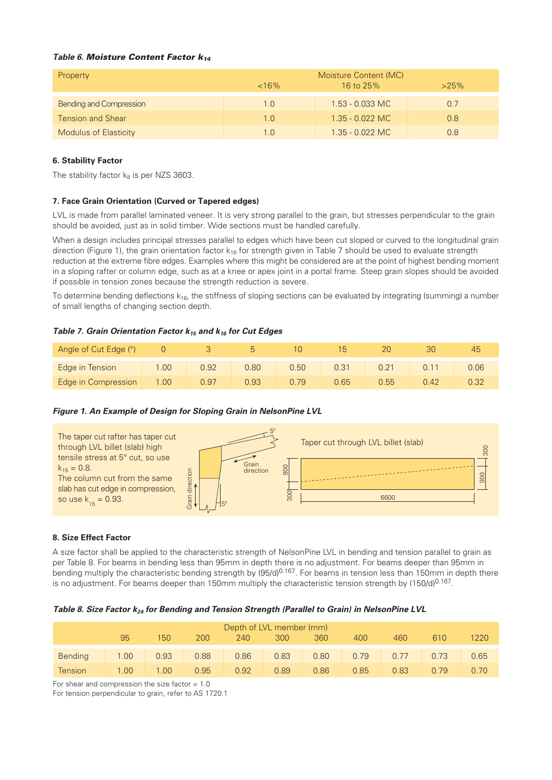# **Table 6. Moisture Content Factor k<sup>14</sup>**

| Property                       | $< 16\%$ | Moisture Content (MC)<br>16 to 25%<br>$>25\%$ |     |  |  |
|--------------------------------|----------|-----------------------------------------------|-----|--|--|
| <b>Bending and Compression</b> | 1.0      | $1.53 - 0.033$ MC                             | 0.7 |  |  |
| <b>Tension and Shear</b>       | 1.0      | $1.35 - 0.022$ MC                             | 0.8 |  |  |
| <b>Modulus of Elasticity</b>   | 1.0      | $1.35 - 0.022$ MC                             | 0.8 |  |  |

# **6. Stability Factor**

The stability factor  $k_8$  is per NZS 3603.

# **7. Face Grain Orientation (Curved or Tapered edges)**

LVL is made from parallel laminated veneer. It is very strong parallel to the grain, but stresses perpendicular to the grain should be avoided, just as in solid timber. Wide sections must be handled carefully.

When a design includes principal stresses parallel to edges which have been cut sloped or curved to the longitudinal grain direction (Figure 1), the grain orientation factor  $k_{16}$  for strength given in Table 7 should be used to evaluate strength reduction at the extreme fibre edges. Examples where this might be considered are at the point of highest bending moment in a sloping rafter or column edge, such as at a knee or apex joint in a portal frame. Steep grain slopes should be avoided if possible in tension zones because the strength reduction is severe.

To determine bending deflections  $k_{16}$ , the stiffness of sloping sections can be evaluated by integrating (summing) a number of small lengths of changing section depth.

# **Table 7. Grain Orientation Factor k15 and k16 for Cut Edges**

| Angle of Cut Edge (°) |      |      |      |      |      |                | ЗC   | 45   |
|-----------------------|------|------|------|------|------|----------------|------|------|
| Edge in Tension       | .00  | 0.92 | 0.80 | 0.50 | 0.31 | 0.21           |      | 0.06 |
| Edge in Compression   | 1.00 | 0.97 | 0.93 | 179  | 0.65 | $0.55^{\circ}$ | 0.42 |      |

# **Figure 1. An Example of Design for Sloping Grain in NelsonPine LVL**



#### **8. Size Effect Factor**

A size factor shall be applied to the characteristic strength of NelsonPine LVL in bending and tension parallel to grain as per Table 8. For beams in bending less than 95mm in depth there is no adjustment. For beams deeper than 95mm in bending multiply the characteristic bending strength by (95/d)<sup>0.167</sup>. For beams in tension less than 150mm in depth there is no adjustment. For beams deeper than 150mm multiply the characteristic tension strength by  $(150/d)^{0.167}$ .

#### **Table 8. Size Factor k24 for Bending and Tension Strength (Parallel to Grain) in NelsonPine LVL**

| Depth of LVL member (mm) |                   |      |      |      |      |      |      |         |      |      |
|--------------------------|-------------------|------|------|------|------|------|------|---------|------|------|
|                          | 95                | 150  | 200  | 240  | 300  | 360  | 400  | 460     | 610  | 1220 |
| <b>Bending</b>           | 1.00              | 0.93 | 0.88 | 0.86 | 0.83 | 0.80 | 0.79 | $-0.77$ | 0.73 | 0.65 |
| <b>Tension</b>           | 1.00 <sub>1</sub> | 1.00 | 0.95 | 0.92 | 0.89 | 0.86 | 0.85 | 0.83    | በ 79 | 0.70 |

For shear and compression the size factor  $= 1.0$ 

For tension perpendicular to grain, refer to AS 1720.1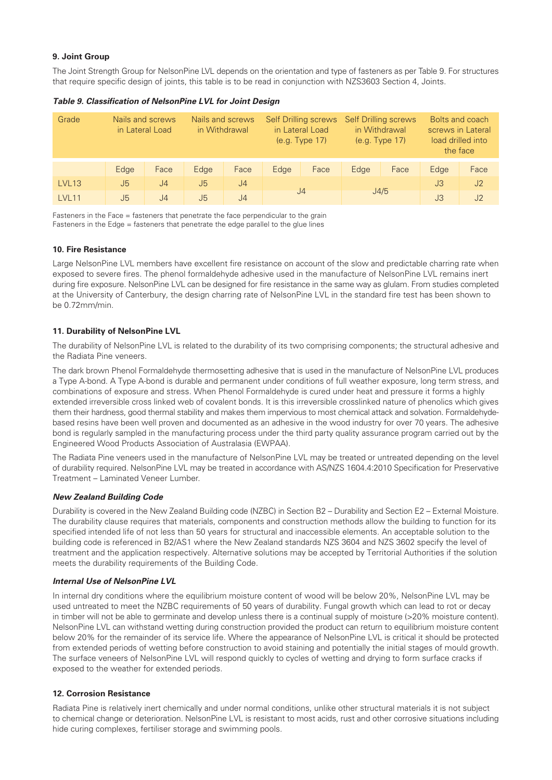### **9. Joint Group**

The Joint Strength Group for NelsonPine LVL depends on the orientation and type of fasteners as per Table 9. For structures that require specific design of joints, this table is to be read in conjunction with NZS3603 Section 4, Joints.

| Grade        |      | Nails and screws<br>in Lateral Load | Nails and screws<br>in Withdrawal |                | <b>Self Drilling screws</b><br>in Lateral Load<br>(e.g. Type 17) |                | <b>Self Drilling screws</b><br>in Withdrawal<br>(e.g. Type 17) |      | Bolts and coach<br>screws in Lateral<br>load drilled into<br>the face |      |    |                |
|--------------|------|-------------------------------------|-----------------------------------|----------------|------------------------------------------------------------------|----------------|----------------------------------------------------------------|------|-----------------------------------------------------------------------|------|----|----------------|
|              | Edge | Face                                | Edge                              | Face           | Edge                                                             | Face           | Edge                                                           | Face | Edge                                                                  | Face |    |                |
| LVL13        | J5   | J4                                  | J5                                | J <sub>4</sub> |                                                                  |                |                                                                |      |                                                                       |      | J3 | J2             |
| <b>IVI11</b> | J5   | J <sub>4</sub>                      | J <sub>5</sub>                    | J <sub>4</sub> |                                                                  | J <sub>4</sub> |                                                                | J4/5 |                                                                       |      | J3 | J <sub>2</sub> |

**Table 9. Classification of NelsonPine LVL for Joint Design**

Fasteners in the Face = fasteners that penetrate the face perpendicular to the grain Fasteners in the Edge = fasteners that penetrate the edge parallel to the glue lines

### **10. Fire Resistance**

Large NelsonPine LVL members have excellent fire resistance on account of the slow and predictable charring rate when exposed to severe fires. The phenol formaldehyde adhesive used in the manufacture of NelsonPine LVL remains inert during fire exposure. NelsonPine LVL can be designed for fire resistance in the same way as glulam. From studies completed at the University of Canterbury, the design charring rate of NelsonPine LVL in the standard fire test has been shown to be 0.72mm/min.

### **11. Durability of NelsonPine LVL**

The durability of NelsonPine LVL is related to the durability of its two comprising components; the structural adhesive and the Radiata Pine veneers.

The dark brown Phenol Formaldehyde thermosetting adhesive that is used in the manufacture of NelsonPine LVL produces a Type A-bond. A Type A-bond is durable and permanent under conditions of full weather exposure, long term stress, and combinations of exposure and stress. When Phenol Formaldehyde is cured under heat and pressure it forms a highly extended irreversible cross linked web of covalent bonds. It is this irreversible crosslinked nature of phenolics which gives them their hardness, good thermal stability and makes them impervious to most chemical attack and solvation. Formaldehydebased resins have been well proven and documented as an adhesive in the wood industry for over 70 years. The adhesive bond is regularly sampled in the manufacturing process under the third party quality assurance program carried out by the Engineered Wood Products Association of Australasia (EWPAA).

The Radiata Pine veneers used in the manufacture of NelsonPine LVL may be treated or untreated depending on the level of durability required. NelsonPine LVL may be treated in accordance with AS/NZS 1604.4:2010 Specification for Preservative Treatment – Laminated Veneer Lumber.

#### **New Zealand Building Code**

Durability is covered in the New Zealand Building code (NZBC) in Section B2 – Durability and Section E2 – External Moisture. The durability clause requires that materials, components and construction methods allow the building to function for its specified intended life of not less than 50 years for structural and inaccessible elements. An acceptable solution to the building code is referenced in B2/AS1 where the New Zealand standards NZS 3604 and NZS 3602 specify the level of treatment and the application respectively. Alternative solutions may be accepted by Territorial Authorities if the solution meets the durability requirements of the Building Code.

#### **Internal Use of NelsonPine LVL**

In internal dry conditions where the equilibrium moisture content of wood will be below 20%, NelsonPine LVL may be used untreated to meet the NZBC requirements of 50 years of durability. Fungal growth which can lead to rot or decay in timber will not be able to germinate and develop unless there is a continual supply of moisture (>20% moisture content). NelsonPine LVL can withstand wetting during construction provided the product can return to equilibrium moisture content below 20% for the remainder of its service life. Where the appearance of NelsonPine LVL is critical it should be protected from extended periods of wetting before construction to avoid staining and potentially the initial stages of mould growth. The surface veneers of NelsonPine LVL will respond quickly to cycles of wetting and drying to form surface cracks if exposed to the weather for extended periods.

#### **12. Corrosion Resistance**

Radiata Pine is relatively inert chemically and under normal conditions, unlike other structural materials it is not subject to chemical change or deterioration. NelsonPine LVL is resistant to most acids, rust and other corrosive situations including hide curing complexes, fertiliser storage and swimming pools.